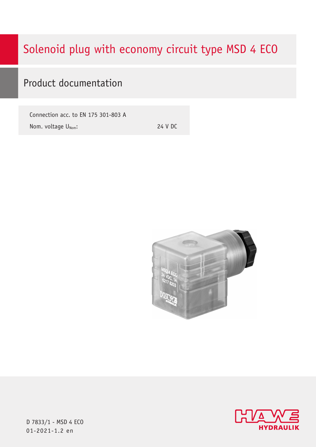# Solenoid plug with economy circuit type MSD 4 ECO

# Product documentation

Connection acc. to EN 175 301-803 A Nom. voltage U<sub>Nom</sub>:

24 V DC





D 7833/1 - MSD 4 ECO  $01 - 2021 - 1.2$  en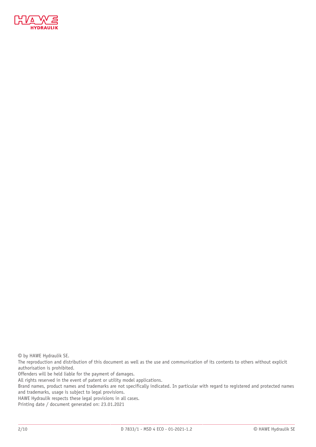

© by HAWE Hydraulik SE.

The reproduction and distribution of this document as well as the use and communication of its contents to others without explicit authorisation is prohibited.

Offenders will be held liable for the payment of damages.

All rights reserved in the event of patent or utility model applications.

Brand names, product names and trademarks are not specifically indicated. In particular with regard to registered and protected names and trademarks, usage is subject to legal provisions.

HAWE Hydraulik respects these legal provisions in all cases.

Printing date / document generated on: 23.01.2021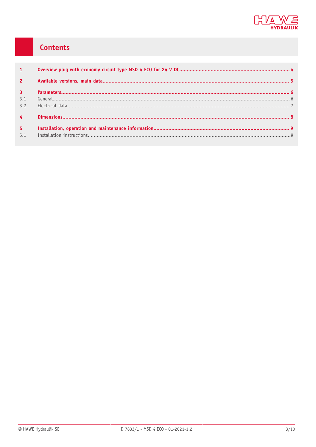

# Contents

| $\mathbf{1}$   |  |
|----------------|--|
| $\overline{2}$ |  |
| $\overline{3}$ |  |
| 3.1            |  |
| 3.2            |  |
| $\overline{4}$ |  |
| $-5$           |  |
| 5.1            |  |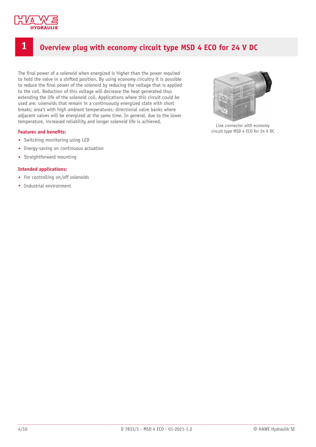

# <span id="page-3-0"></span>**1 Overview plug with economy circuit type MSD 4 ECO for 24 V DC**

The final power of a solenoid when energized is higher than the power required to hold the valve in a shifted position. By using economy circuitry it is possible to reduce the final power of the solenoid by reducing the voltage that is applied to the coil. Reduction of this voltage will decrease the heat generated thus extending the life of the solenoid coil. Applications where this circuit could be used are: solenoids that remain in a continuously energized state with short breaks; area's with high ambient temperatures; directional valve banks where adjacent valves will be energized at the same time. In general, due to the lower temperature, increased reliability and longer solenoid life is achieved.

#### **Features** and **benefits:**

- Switching monitoring using LED
- Energy-saving on continuous actuation
- Straightforward mounting

#### **Intended applications:**

- For controlling on/off solenoids
- Industrial environment



Line connector with economy circuit type MSD 4 ECO for 24 V DC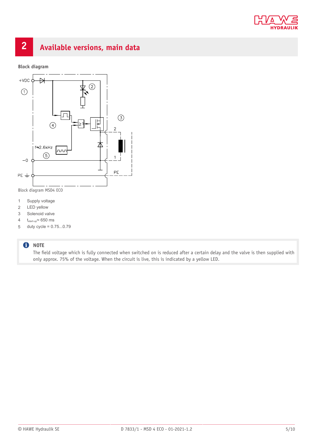

# <span id="page-4-0"></span>**2 Available versions, main data**

**Block diagram**



Block diagram MSD4 ECO

- 1 Supply voltage
- 2 LED yellow
- 3 Solenoid valve
- 4  $t_{start-up} \approx 650$  ms
- 5 duty cycle = 0.75...0.79

#### **O** NOTE

The field voltage which is fully connected when switched on is reduced after a certain delay and the valve is then supplied with only approx. 75% of the voltage. When the circuit is live, this is indicated by a yellow LED.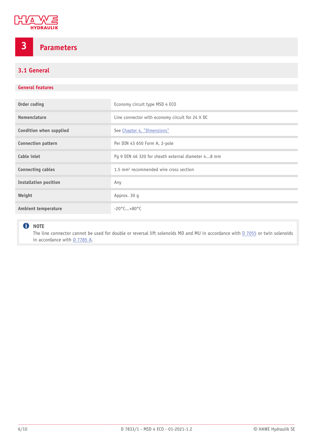

# <span id="page-5-0"></span>**3 Parameters**

## <span id="page-5-1"></span>**3.1 General**

### **General features**

| Order coding                 | Economy circuit type MSD 4 ECO                     |
|------------------------------|----------------------------------------------------|
| Nomenclature                 | Line connector with economy circuit for 24 V DC    |
| Condition when supplied      | See Chapter 4, "Dimensions"                        |
| <b>Connection pattern</b>    | Per DIN 43 650 Form A, 2-pole                      |
| Cable inlet                  | Pg 9 DIN 46 320 for sheath external diameter 48 mm |
| <b>Connecting cables</b>     | 1.5 mm <sup>2</sup> recommended wire cross section |
| <b>Installation position</b> | Any                                                |
| Weight                       | Approx. 30 q                                       |
| <b>Ambient temperature</b>   | $-20^{\circ}$ C+80 $^{\circ}$ C                    |

### **O** NOTE

The line connector cannot be used for double or reversal lift solenoids MD and MU in accordance with **D** 7055 or twin solenoids in accordance with **D 7785 A**.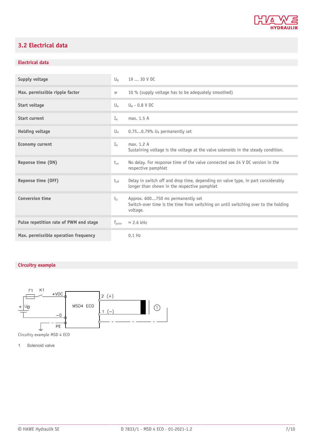

# <span id="page-6-0"></span>**3.2 Electrical data**

## **Electrical data**

| Supply voltage                         | $\bigcup_{R}$      | 19  30 V DC                                                                                                                         |
|----------------------------------------|--------------------|-------------------------------------------------------------------------------------------------------------------------------------|
| Max. permissible ripple factor         | W                  | 10 % (supply voltage has to be adequately smoothed)                                                                                 |
| Start voltage                          | $U_{\Delta}$       | $U_R$ - 0.8 V DC                                                                                                                    |
| <b>Start current</b>                   | $I_A$              | max. 1.5 A                                                                                                                          |
| <b>Holding voltage</b>                 | Uн                 | $0.750.79\%$ U <sub>B</sub> permanently set                                                                                         |
| <b>Economy current</b>                 | $I_{\rm H}$        | max. 1.2 A<br>Sustaining voltage is the voltage at the valve solenoids in the steady condition.                                     |
| Reponse time (ON)                      | $t_{\alpha n}$     | No delay. For response time of the valve connected see 24 V DC version in the<br>respective pamphlet                                |
| Reponse time (OFF)                     | $t_{\text{off}}$   | Delay in switch off and drop time, depending on valve type, in part considerably<br>longer than shown in the respective pamphlet    |
| <b>Conversion time</b>                 | $t_{\rm H}$        | Approx. 600750 ms permanently set<br>Switch-over time is the time from switching on until switching over to the holding<br>voltage. |
| Pulse repetition rate of PWM end stage | $f_{\text{pulse}}$ | $\approx$ 2.6 kHz                                                                                                                   |
| Max. permissible operation frequency   |                    | $0.1$ Hz                                                                                                                            |

## **Circuitry example**



Circuitry example MSD 4 ECO

1 Solenoid valve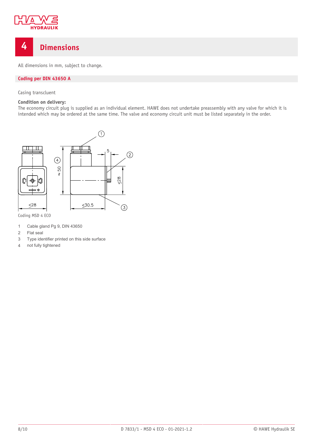

# <span id="page-7-0"></span>**4 Dimensions**

All dimensions in mm, subject to change.

### **Coding per DIN 43650 A**

Casing transcluent

#### **Condition on delivery:**

The economy circuit plug is supplied as an individual element. HAWE does not undertake preassembly with any valve for which it is intended which may be ordered at the same time. The valve and economy circuit unit must be listed separately in the order.



Coding MSD 4 ECO

- 1 Cable gland Pg 9, DIN 43650
- 2 Flat seal
- 3 Type identifier printed on this side surface
- 4 not fully tightened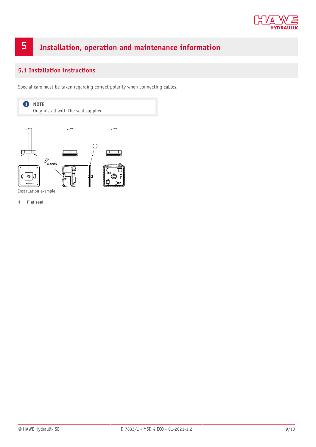

# <span id="page-8-0"></span>**5 Installation, operation and maintenance information**

## <span id="page-8-1"></span>**5.1 Installation instructions**

Special care must be taken regarding correct polarity when connecting cables.



1 Flat seal